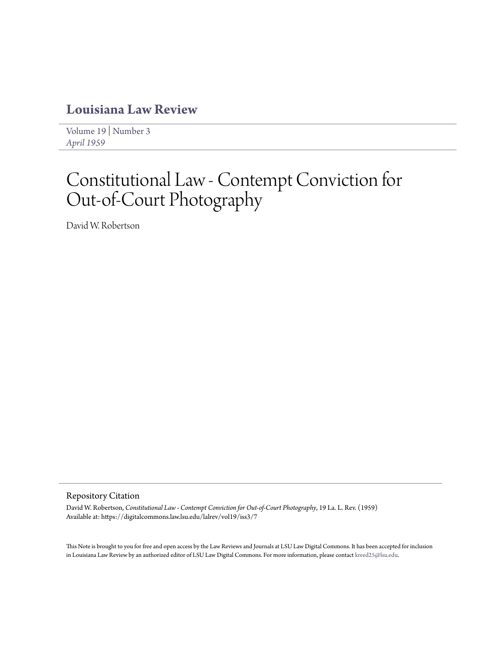## **[Louisiana Law Review](https://digitalcommons.law.lsu.edu/lalrev)**

[Volume 19](https://digitalcommons.law.lsu.edu/lalrev/vol19) | [Number 3](https://digitalcommons.law.lsu.edu/lalrev/vol19/iss3) *[April 1959](https://digitalcommons.law.lsu.edu/lalrev/vol19/iss3)*

# Constitutional Law - Contempt Conviction for Out-of-Court Photography

David W. Robertson

#### Repository Citation

David W. Robertson, *Constitutional Law - Contempt Conviction for Out-of-Court Photography*, 19 La. L. Rev. (1959) Available at: https://digitalcommons.law.lsu.edu/lalrev/vol19/iss3/7

This Note is brought to you for free and open access by the Law Reviews and Journals at LSU Law Digital Commons. It has been accepted for inclusion in Louisiana Law Review by an authorized editor of LSU Law Digital Commons. For more information, please contact [kreed25@lsu.edu](mailto:kreed25@lsu.edu).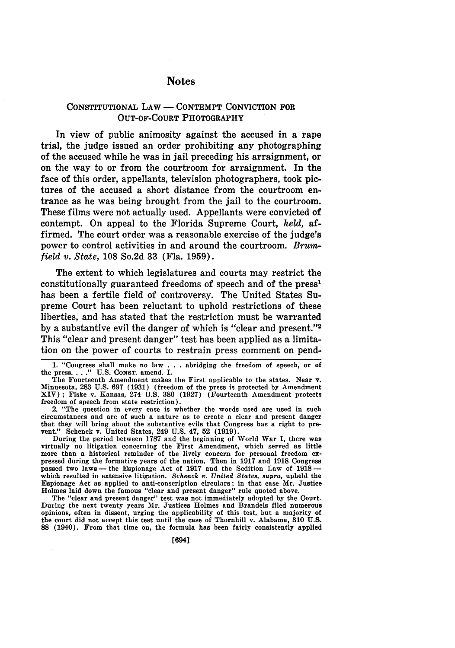### **Notes**

#### **CONSTITUTIONAL** LAW - **CONTEMPT CONVICTION** FOR **OUT-OF-COURT** PHOTOGRAPHY

In view of public animosity against the accused in a rape trial, the judge issued an order prohibiting any photographing of the accused while he was in jail preceding his arraignment, or on the way to or from the courtroom for arraignment. In the face of this order, appellants, television photographers, took **pic**tures of the accused a short distance from the courtroom entrance as he was being brought from the jail to the courtroom. These films were not actually used. Appellants were convicted of contempt. On appeal to the Florida Supreme Court, **held,** affirmed. The court order was a reasonable exercise of the judge's power to control activities in and around the courtroom. *Brunfield v. State,* **108** So.2d **33** (Fla. **1959).**

The extent to which legislatures and courts may restrict the constitutionally guaranteed freedoms of speech and of the press1 has been a fertile field of controversy. The United States Supreme Court has been reluctant to uphold restrictions of these liberties, and has stated that the restriction must be warranted **by** a substantive evil the danger of which is "clear and present."2 This "clear and present danger" test has been applied as a limitation on the power of courts to restrain press comment on pend-

2. "The question in every case is whether the words used are used in such circumstances **and** are of such a nature as to create a clear and present danger that they will bring about the substantive evils that Congress has a right to pre-vent." Schenck v. United States, 249 **U.S.** 47, **52 (1919).**

During the period between **1787** and the beginning of World War I, there was virtually no litigation concerning the First Amendment, which served as little more than a historical reminder of the lively concern for personal freedom expressed during the formative years of the nation. Then in 1917 and 1918 Congress passed two laws- the Espionage Act of **1917** and the Sedition Law of **1918** which resulted in extensive litigation. Schenck *v. United States, supra,* upheld the Espionage Act as applied to anti-conscription circulars; in that case Mr. Justice Holmes laid down the famous "clear and present danger" rule quoted above.

The "clear and present danger" test was not immediately adopted **by** the Court. During the next twenty years Mr. Justices Holmes and Brandeis filed numerous opinions, often in dissent, urging the applicability of this test, but a majority of the court did not accept this test until the case of Thornhill v. Alabama, **310 U.S. 88** (1940). From that time on, the formula has been fairly consistently applied

**<sup>1.</sup>** "Congress shall make no law **. . .** abridging the freedom of speech, or of the press **... " U.S. CONST.** amend. I.

The Fourteenth Amendment makes the First applicable to the states. Near v. Minnesota, **283 U.S. 697 (1931)** (freedom of the press is protected **by** Amendment XIV); Fiske v. Kansas, 274 **U.S. 380 (1927)** (Fourteenth Amendment protects freedom of speech from state restriction).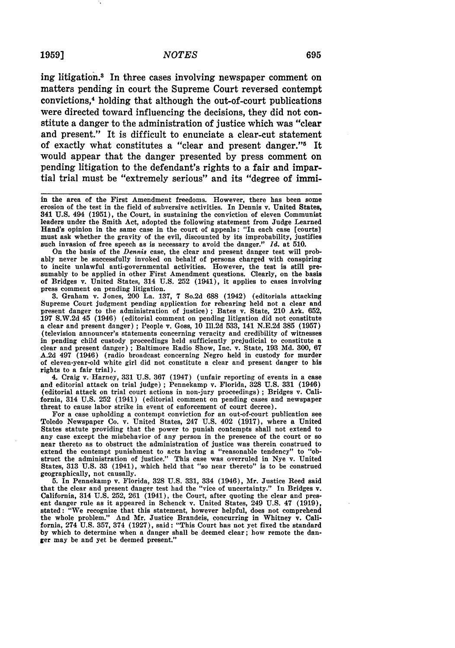#### **1959]** *NOTES*

ing litigation.3 In three cases involving newspaper comment on matters pending in court the Supreme Court reversed contempt convictions,<sup>4</sup> holding that although the out-of-court publications were directed toward influencing the decisions, they did not constitute a danger to the administration of justice which was "clear and present." It is difficult to enunciate a clear-cut statement of exactly what constitutes a "clear and present danger."<sup>5</sup> It would appear that the danger presented **by** press comment on pending litigation to the defendant's rights to a fair and impartial trial must be "extremely serious" and its "degree of immi-

On the basis of the *Dennis* case, the clear and present danger test will probably never **be** successfully invoked on behalf of persons charged with conspiring to incite unlawful anti-governmental activities. However, the test is still presumably to **be** applied in other First Amendment questions. Clearly, on the basis of Bridges v. United States, 314 **U.S. 252** (1941), it applies to cases involving press comment on pending litigation.

**3.** Graham v. Jones, 200 La. **137, 7** So.2d **688** (1942) (editorials attacking Supreme Court judgment pending application for rehearing held not a clear and present danger to the administration of justice) **;** Bates v. State, 210 Ark. **652, 197 S.W.2d** 45 (1946) (editorial comment on pending litigation did not constitute a clear and present danger) **;** People v. Goss, **10** Ill.2d **533,** 141 **N.E.2d 385 (1957)** (television announcer's statements concerning veracity and credibility of witnesses in pending child custody proceedings held sufficiently prejudicial to constitute a clear and present danger) **;** Baltimore Radio Show, Inc. v. State, **193 Md. 300, 67 A.2d** 497 (1946) (radio broadcast concerning Negro held in custody for murder of eleven-year-old white girl did not constitute a clear and present danger to his rights to a fair trial).

4. Craig v. Harney, **331 U.S. 367** (1947) (unfair reporting of events in a case and editorial attack on trial judge) **;** Pennekamp v. Florida, **328 U.S. 331** (1946) (editorial attack on trial court actions in non-jury proceedings) **;** Bridges v. California, 314 **U.S. 252** (1941) (editorial comment on pending cases and newspaper threat to cause labor strike in event of enforcement of court decree).

For a case upholding a contempt conviction for an out-of-court publication see Toledo Newspaper Co. v. United States, 247 **U.S.** 402 **(1917),** where a United States statute providing that the power to punish contempts shall not extend to any case except the misbehavior of any person in the presence of the court or so near thereto as to obstruct the administration of justice was therein construed to extend the contempt punishment to acts having a "reasonable tendency" to "obstruct the administration of justice." This case was overruled in Nye v. United States, 313 U.S. 33 (1941), which held that "so near thereto" is to be construed geographically, not causally.

**5.** In Pennekamp v. Florida, **328 U.S. 331,** 334 (1946), Mr. Justice Reed said that the clear and present danger test had the "vice of uncertainty." In Bridges v. California, 314 **U.S. 252, 261** (1941), the Court, after quoting the clear and present danger rule as it appeared in Schenck v. United States, 249 **U.S.** 47 **(1919),** stated: "We recognize that this statement, however helpful, does not comprehend the whole problem." And Mr. Justice Brandeis, concurring in Whitney v. California, 274 **U.S. 357,** 374 **(1927),** said: "This Court has not yet fixed the standard **'by** which to determine when a danger shall be deemed clear; how remote the danger may be and yet **be** deemed present."

in the area of the First Amendment freedoms. However, there has been some erosion of the test in the field of subversive activities. In Dennis v. United States, **341 U.S.** 494 **(1951),** the Court, in sustaining the conviction of eleven Communist leaders under the Smith Act, adopted the following statement from Judge Learned Hand's opinion in the same case in the court of appeals: "In each case [courts] must ask whether the gravity of the evil, discounted **by** its improbability, justifies such invasion of free speech as is necessary to avoid the danger." *Id.* at **510.**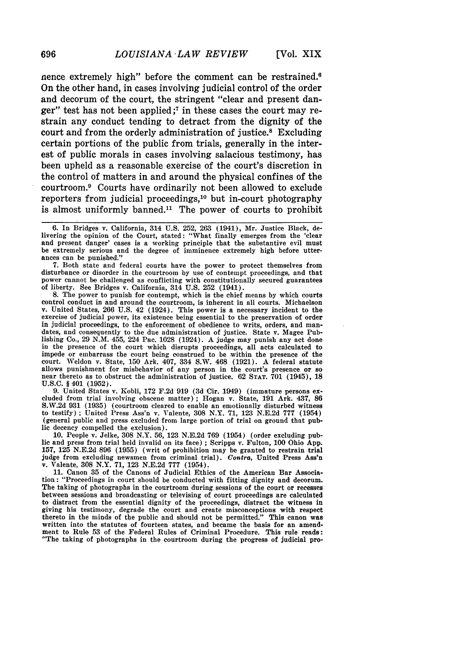nence extremely high" before the comment can be restrained.6 On the other hand, in cases involving judicial control of the order and decorum of the court, the stringent "clear and present danger" test has not been applied **;7** in these cases the court may restrain any conduct tending to detract from the dignity of the court and from the orderly administration of justice.8 Excluding certain portions of the public from trials, generally in the interest of public morals in cases involving salacious testimony, has been upheld as a reasonable exercise of the court's discretion in the control of matters in and around the physical confines of the courtroom. 9 Courts have ordinarily not been allowed to exclude reporters from judicial proceedings,<sup>10</sup> but in-court photography is almost uniformly banned.<sup>11</sup> The power of courts to prohibit

**7.** Both state and federal courts have the power to protect themselves from disturbance or disorder in the courtroom **by** use of contempt proceedings, and that power cannot be challenged as conflicting with constitutionally secured guarantees of liberty. See Bridges v. California, 314 **U.S. 252** (1941).

**8.** The power to punish for contempt, which is the chief means **by** which courts control conduct in and around the courtroom, is inherent in all courts. Michaelson v. United States, **266 U.S.** 42 (1924). This power is a necessary incident to the exercise of judicial power, its existence being essential to the preservation of order in judicial proceedings, to the enforcement of obedience to writs, orders, and man- dates, and consequently to the due administration of justice. State v. Magee Publishing Co., **29 N.M.** 455, 224 Pac. **1028** (1924). A judge may punish any act done in the presence of the court which disrupts proceedings, all acts calculated to impede or embarrass the court being construed to be within the presence **of** the court. Weldon v. State, **150** Ark. 407, 334 S.W. 468 **(1921).** A federal statute near thereto as to obstruct the administration of justice. **62 STAT.** 701 **(1945)**, 18 **U.S.C.** § 401 **(1952).**

**9.** United States v. Kobli, **172 F.2d 919 (3d** Cir. 1949) (immature persons ex- cluded from trial involving obscene matter) **;** Hogan v. State, **191** Ark. 437, **<sup>86</sup> S.W.2d 931 (1935)** (courtroom cleared to enable an emotionally disturbed witness to testify) **;** United Press Ass'n v. Valente, **308** N.Y. **71, 123 N.E.2d 777** (1954) (general public and press excluded from large portion of trial on ground that public decency compelled the exclusion).

**10.** People v. Jelke, **308** N.Y. **56, 123 N.E.2d 769** (1954) (order excluding public and press from trial held invalid on its face) **;** Scripps v. Fulton, **100** Ohio **App. 157, 125 N.E.2d 896 (1955)** (writ of prohibition may be granted to restrain trial judge from excluding newsmen from criminal trial). Contra, United Press Ass'n v. Valente, **308** N.Y. **71, 123 N.E.2d 777** (1954).

**11.** Canon **35** of the Canons of Judicial Ethics of the American Bar Associa-tion: "Proceedings in court should be conducted with fitting dignity and decorum. The taking of photographs in the courtroom during sessions of the court or recesses between sessions and broadcasting or televising of court proceedings are calculated to distract from the essential dignity of the proceedings, distract the witness in giving his testimony, degrade the court and create misconceptions with respect thereto in the minds of the public and should not be permitted." This canon was written into the statutes of fourteen states, and became the basis for an amendwritten into the statutes of fourteen states, and became the basis for an amend-<br>ment to Rule 53 of the Federal Rules of Criminal Procedure. This rule reads: "The taking of photographs in the courtroom during the progress of judicial pro-

696

**<sup>6.</sup>** In Bridges v. California, 314 **U.S. 252, 263** (1941), Mr. Justice Black, delivering the opinion of the Court, stated: "What finally emerges from the 'clear and present danger' cases is a working principle that the substantive evil must be extremely serious and the degree of imminence extremely high before utter- ances can **be** punished."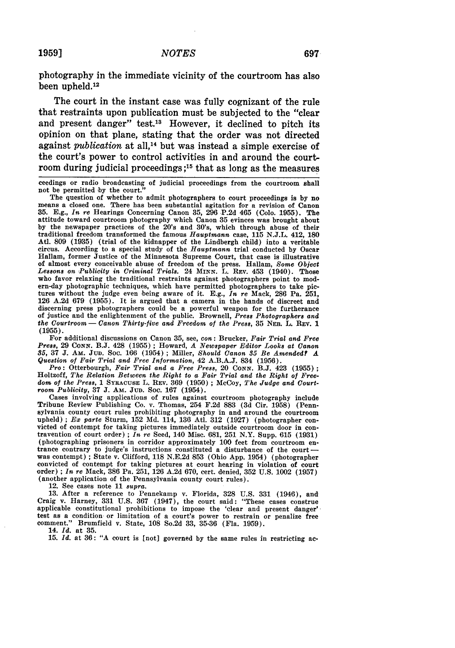photography in the immediate vicinity of the courtroom has also been upheld.<sup>12</sup>

The court in the instant case was fully cognizant of the rule that restraints upon publication must be subjected to the "clear and present danger" test.<sup>13</sup> However, it declined to pitch its opinion on that plane, stating that the order was not directed against *publication* at all.<sup>14</sup> but was instead a simple exercise of the court's power to control activities in and around the courtroom during judicial proceedings **;15** that as long as the measures

For additional discussions on Canon 35, see, *con:* Brucker, *Fair Trial and Free Press, 29* CoNN. B.J. 428 (1955) ; Howard, *A Newspaper Editor Looks at Canon 85,* 37 **J.** AM. JuD. Soc. 166 (1954) ; Miller, *Should Canon 35 Be Amended? A Question of Fair Trial and Free Information,* 42 A.B.A.J. 834 (1956).

*Pro:* Otterbourgh, *Fair Trial and a Free Press,* 20 CONN. B.J. 423 (1955) Holtzoff, *The Relation Between the Right to a Fair Trial and the Right of Freedom of the Press,* <sup>1</sup>**SYRACUSE** L. REV. 369 (1950) ; McCoy, *The Judge and Court- room Publicity,* 37 J. **Am. JUD.** Soc. 167 (1954).

Cases involving applications of rules against courtroom photography include Tribune Review Publishing Co. v. Thomas, 254 F.2d 883 (3d Cir. 1958) (Pennsylvania county court rules prohibiting photography in and around the courtroom upheld); Ex parte Sturm,  $152$  Md.  $114$ ,  $136$  Atl.  $312$  ( $1927$ ) (photographer convicted of contempt for taking pictures immediately outside courtroom door in contravention of court order); In re Seed,  $140$  Misc. 681, 251 N.Y. Supp. 615 (1931) (photographing prisoners in corridor approximately 100 feet from courtroom en- trance contrary to judge's instructions constituted a disturbance of the court  was contempt) ; State v. Clifford, 118 N.E.2d 853 (Ohio App. 1954) (photographer convicted of contempt for taking pictures at court hearing in violation of court order) ; *In re* Mack, 386 Pa. 251, 126 A.2d 670, cert. denied, 352 U.S. 1002 (1957) (another application of the Pennsylvania county court rules).

12. See cases note 11 *supra.*

13. After a reference to Pennekamp v. Florida, 328 U.S. 331 (1946), and Craig v. Harney, **331 U.S.** 367 (1947), the court said: "These cases construe applicable constitutional prohibitions to impose the 'clear and present danger' test as a condition or limitation of a court's power to restrain or penalize free comment." Brumfield v. State, 108 So.2d 33, 35-36 (Fla. 1959).

14. *Id.* at 35.

**15.** *Id.* at **36: "A** court is [not] governed by the same rules in restricting ac-

ceedings or radio broadcasting of judicial proceedings from the courtroom shall not be permitted by the court."<br>The question of whether to admit photographers to court proceedings is by no

The question of whether to admit photographers to court proceedings is by no means a closed one. There has been substantial agitation for a revision of Canon **35.** E.g., *In re* Hearings Concerning Canon **35,** 296 P.2d 465 (Colo. 1955). The attitude toward courtroom photography which Canon **35** evinces was brought about by the newspaper practices of the 20's and 30's, which through abuse of their traditional freedom transformed the famous *Hauptmann* case, 115 N.J.L. 412, **180** Atl. 809 (1935) (trial of the kidnapper of the Lindbergh child) into a veritable circus. According to a special study of the *Hauptmann* trial conducted by Oscar Hallam, former Justice of the Minnesota Supreme Court, that case is illustrative of almost every conceivable abuse of freedom of the press. Hallam, *Some Object Lessons on Publicity in Criminal Trials.* 24 **MINN.** L. **REV.** 453 (1940). Those who favor relaxing the traditional restraints against photographers point to modern-day photographic techniques, which have permitted photographers to take pictures without the judge even being aware of it. E.g., *In re* Mack, 286 Pa. 251, 126 A.2d 679 (1955). It is argued that a camera in the hands of discreet and discerning press photographers could be a powerful weapon for the furtherance of justice and the enlightenment of the public. Brownell, *Press Photographers and the Courtroom* **-** *Canon Thirty-five and Freedom of the Press,* **35** NEB. L. **REV. 1** (1955).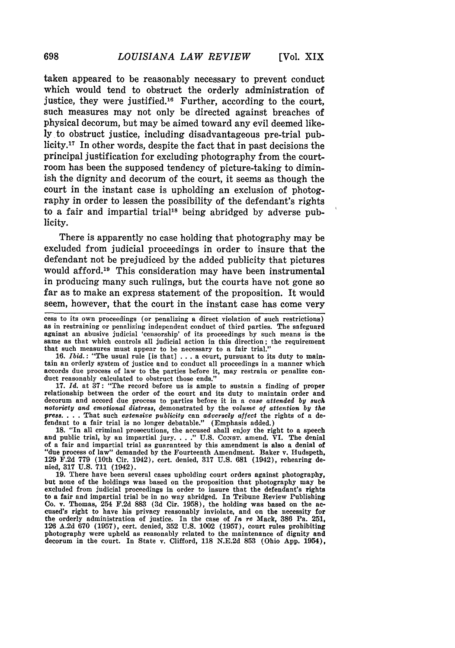taken appeared to be reasonably necessary to prevent conduct which would tend to obstruct the orderly administration of justice, they were justified.16 Further, according to the court, such measures may not only be directed against breaches of physical decorum, but may be aimed toward any evil deemed likely to obstruct justice, including disadvantageous pre-trial publicity.17 In other words, despite the fact that in past decisions the principal justification for excluding photography from the courtroom has been the supposed tendency of picture-taking to diminish the dignity and decorum of the court, it seems as though the court in the instant case is upholding an exclusion of photography in order to lessen the possibility of the defendant's rights to a fair and impartial trial<sup>18</sup> being abridged by adverse publicity.

There is apparently no case holding that photography may be excluded from judicial proceedings in order to insure that the defendant not be prejudiced by the added publicity that pictures would afford.<sup>19</sup> This consideration may have been instrumental in producing many such rulings, but the courts have not gone so far as to make an express statement of the proposition. It would seem, however, that the court in the instant case has come very

16. Ibid. **:** "The usual rule [is that] ...a court, pursuant to its duty to maintain an orderly system of justice and to conduct all proceedings in a manner which accords due process of law to the parties before it, may restrain or penalize con- duct reasonably calculated to obstruct those ends."

**17.** *Id.* at **37:** "The record before us is ample to sustain a finding of proper relationship between the order of the court and its duty to maintain order and decorum and accord due process to parties before it in a *case attended by such notoriety and emotional distress,* demonstrated by the *volume of attention by the press.* . **.** .That such *extensive publicity* can *adversely affect* the rights of a de-fendant to a fair trial is no longer debatable." (Emphasis added.)

18. "In all criminal prosecutions, the accused shall enjoy the right to a speech and public trial, by an impartial jury **.. "** U.S. CoNsT. amend. VI. The denial of a fair and impartial trial as guaranteed by this amendment is also a denial of "due process of law" demanded by the Fourteenth Amendment. Baker v. Hudspeth, 129 F.2d **779** (10th Cir. 1942), cert. denied, 317 U.S. 681 (1942), rehearing denied, **317 U.S. 711** (1942).

**19.** There have been several cases upholding court orders against photography, but none of the holdings was based on the proposition that photography may be excluded from judicial proceedings in order to insure that the defendant's rights to a fair and impartial trial be in no way abridged. In Tribune Review Publishing Co. v. Thomas, 254 F.2d 883 **(3d** Cir. 1958), the holding was based on the ac- cused's right to have his privacy reasonably inviolate, and on the necessity for the orderly administration of justice. In the case of *In re* Mack, **386** Pa. **251,** 126 A.2d 670 (1957), cert. denied, 352 U.S. 1002 (1957), court rules prohibiting photography were upheld as reasonably related to the maintenance of dignity and decorum in the court. In State v. Clifford, 118 N.E.2d **853** (Ohio **App.** 1954),

698

cess to its own proceedings (or penalizing a direct violation of such restrictions) as in restraining or penalizing independent conduct of third parties. The safeguard against an abusive judicial 'censorship' of its proceedings **by** such means is the same as that which controls all judicial action in this direction; the requirement that such measures must appear to be necessary to a fair trial."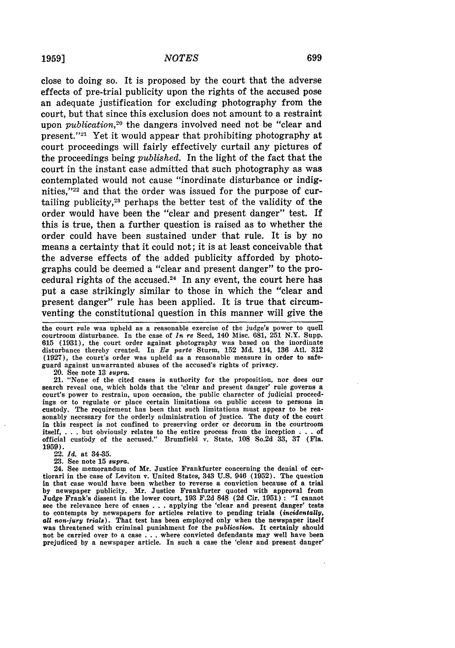close to doing so. It is proposed by the court that the adverse effects of pre-trial publicity upon the rights of the accused pose an adequate justification for excluding photography from the court, but that since this exclusion does not amount to a restraint upon *publication,20* the dangers involved need not be "clear and present." $2<sup>1</sup>$  Yet it would appear that prohibiting photography at court proceedings will fairly effectively curtail any pictures of the proceedings being *published.* In the light of the fact that the court in the instant case admitted that such photography as was contemplated would not cause "inordinate disturbance or indignities,"<sup>22</sup> and that the order was issued for the purpose of curtailing publicity,<sup>23</sup> perhaps the better test of the validity of the order would have been the "clear and present danger" test. If this is true, then a further question is raised as to whether the order could have been sustained under that rule. It is by no means a certainty that it could not; it is at least conceivable that the adverse effects of the added publicity afforded by photographs could be deemed a "clear and present danger" to the procedural rights of the accused.<sup>24</sup> In any event, the court here has put a case strikingly similar to those in which the "clear and present danger" rule has been applied. It is true that circumventing the constitutional question in this manner will give the

the court rule was upheld as a reasonable exercise of the judge's power to quell courtroom disturbance. In the case of *In re* Seed, 140 Misc. 681, 251 N.Y. Supp. 615 (1931), the court order against photography was based on the inordinate disturbance thereby created. In *Ew* parte Sturm, 152 Md. 114, 136 Atl. 312 (1927), the court's order was upheld as a reasonable measure in order to safeguard against unwarranted abuses of the accused's rights of privacy.

20. See note 13 *8upra.* 21. "None of the cited cases is authority for the proposition, nor does our search reveal one, which holds that the 'clear and present danger' rule governs a court's power to restrain, upon occasion, the public character of judicial proceedings or to regulate or place certain limitations on public access to persons in custody. The requirement has been that such limitations must appear to be reasonably necessary for the orderly administration of justice. The duty of the court in this respect is not confined to preserving order or decorum in the courtroom itself, . . . but obviously relates to the entire process from the inception . . . of official custody of the accused." Brumfield  $\mathbf{v}$ . State, 108 So.2d 33, 37 (Fla. 1959).

22. *Id.* at 34-35.

**23.** See note **15** *supra.*

24. See memorandum of Mr. Justice Frankfurter concerning the denial of certiorari in the case of Leviton v. United States, 343 U.S. 946 (1952). The question in that case would have been whether to reverse a conviction because of a trial by newspaper publicity. Mr. Justice Frankfurter quoted with approval from Judge Frank's dissent in the lower court, **193** F.2d 848 (2d Cir. 1951) **:** "I cannot see the relevance here of cases . . . applying the 'clear and present danger' tests to contempts by newspapers for articles relative to pending trials *(incidentally, all non-jury trial8).* That test has been employed only when the newspaper itself was threatened with criminal punishment for the *publication.* It certainly should not be carried over to a case . . .where convicted defendants may well have been prejudiced by a newspaper article. In such a case the 'clear and present danger'